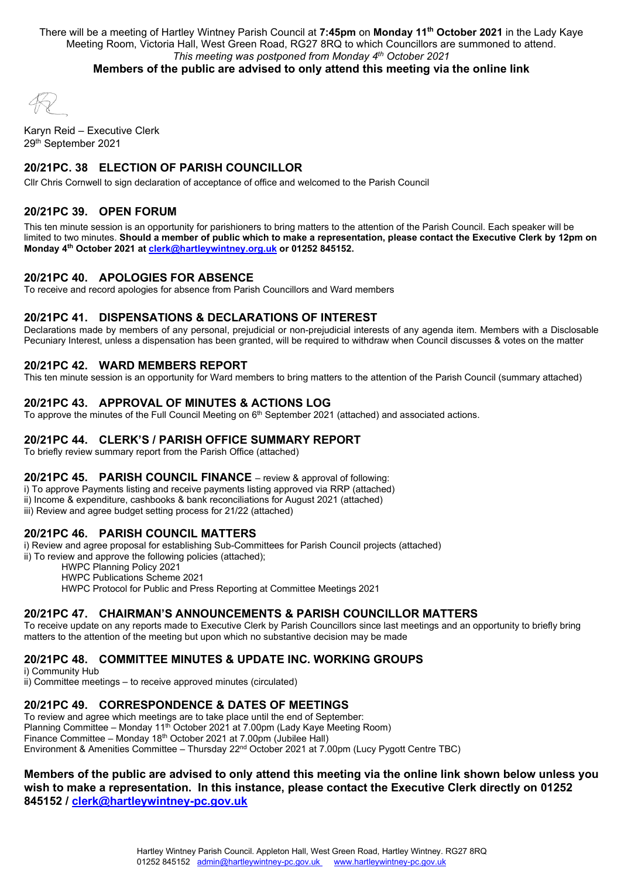There will be a meeting of Hartley Wintney Parish Council at **7:45pm** on **Monday 11th October 2021** in the Lady Kaye Meeting Room, Victoria Hall, West Green Road, RG27 8RQ to which Councillors are summoned to attend. *This meeting was postponed from Monday 4th October 2021*

## **Members of the public are advised to only attend this meeting via the online link**

Karyn Reid – Executive Clerk 29th September 2021

## **20/21PC. 38 ELECTION OF PARISH COUNCILLOR**

Cllr Chris Cornwell to sign declaration of acceptance of office and welcomed to the Parish Council

## **20/21PC 39. OPEN FORUM**

This ten minute session is an opportunity for parishioners to bring matters to the attention of the Parish Council. Each speaker will be limited to two minutes. **Should a member of public which to make a representation, please contact the Executive Clerk by 12pm on Monday 4th October 2021 a[t clerk@hartleywintney.org.uk](mailto:clerk@hartleywintney.org.uk) or 01252 845152.**

## **20/21PC 40. APOLOGIES FOR ABSENCE**

To receive and record apologies for absence from Parish Councillors and Ward members

## **20/21PC 41. DISPENSATIONS & DECLARATIONS OF INTEREST**

Declarations made by members of any personal, prejudicial or non-prejudicial interests of any agenda item. Members with a Disclosable Pecuniary Interest, unless a dispensation has been granted, will be required to withdraw when Council discusses & votes on the matter

#### **20/21PC 42. WARD MEMBERS REPORT**

This ten minute session is an opportunity for Ward members to bring matters to the attention of the Parish Council (summary attached)

#### **20/21PC 43. APPROVAL OF MINUTES & ACTIONS LOG**

To approve the minutes of the Full Council Meeting on  $6<sup>th</sup>$  September 2021 (attached) and associated actions.

## **20/21PC 44. CLERK'S / PARISH OFFICE SUMMARY REPORT**

To briefly review summary report from the Parish Office (attached)

#### **20/21PC 45. PARISH COUNCIL FINANCE** – review & approval of following:

i) To approve Payments listing and receive payments listing approved via RRP (attached)

ii) Income & expenditure, cashbooks & bank reconciliations for August 2021 (attached)

iii) Review and agree budget setting process for 21/22 (attached)

## **20/21PC 46. PARISH COUNCIL MATTERS**

i) Review and agree proposal for establishing Sub-Committees for Parish Council projects (attached)

ii) To review and approve the following policies (attached);

- HWPC Planning Policy 2021
- HWPC Publications Scheme 2021
- HWPC Protocol for Public and Press Reporting at Committee Meetings 2021

## **20/21PC 47. CHAIRMAN'S ANNOUNCEMENTS & PARISH COUNCILLOR MATTERS**

To receive update on any reports made to Executive Clerk by Parish Councillors since last meetings and an opportunity to briefly bring matters to the attention of the meeting but upon which no substantive decision may be made

## **20/21PC 48. COMMITTEE MINUTES & UPDATE INC. WORKING GROUPS**

i) Community Hub

ii) Committee meetings – to receive approved minutes (circulated)

## **20/21PC 49. CORRESPONDENCE & DATES OF MEETINGS**

To review and agree which meetings are to take place until the end of September: Planning Committee – Monday 11<sup>th</sup> October 2021 at 7.00pm (Lady Kaye Meeting Room) Finance Committee – Monday 18th October 2021 at 7.00pm (Jubilee Hall) Environment & Amenities Committee – Thursday 22nd October 2021 at 7.00pm (Lucy Pygott Centre TBC)

## **Members of the public are advised to only attend this meeting via the online link shown below unless you wish to make a representation. In this instance, please contact the Executive Clerk directly on 01252 845152 / [clerk@hartleywintney-pc.gov.uk](mailto:clerk@hartleywintney-pc.gov.uk)**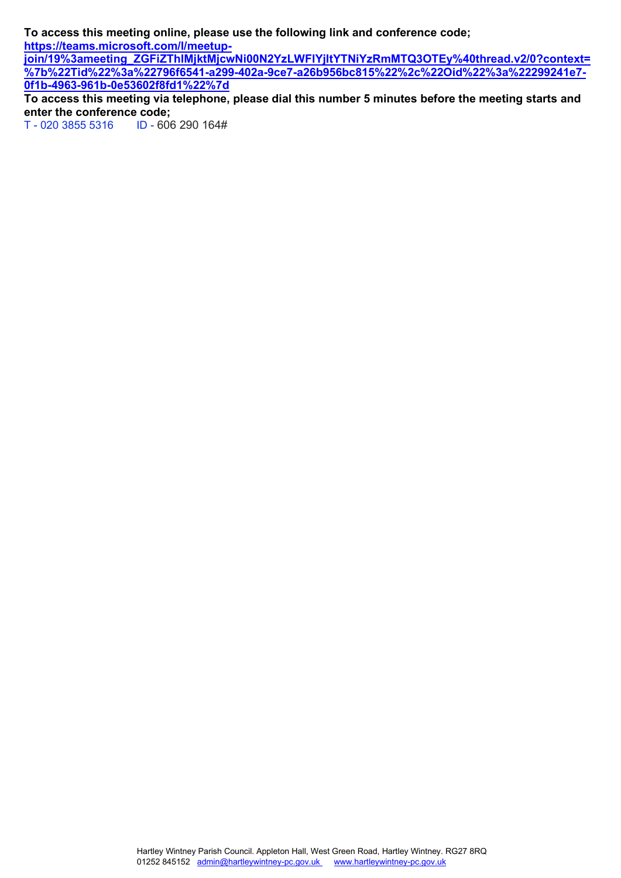**To access this meeting online, please use the following link and conference code; [https://teams.microsoft.com/l/meetup-](https://teams.microsoft.com/l/meetup-join/19%3ameeting_ZGFiZThlMjktMjcwNi00N2YzLWFlYjItYTNiYzRmMTQ3OTEy%40thread.v2/0?context=%7b%22Tid%22%3a%22796f6541-a299-402a-9ce7-a26b956bc815%22%2c%22Oid%22%3a%22299241e7-0f1b-4963-961b-0e53602f8fd1%22%7d)**

**[join/19%3ameeting\\_ZGFiZThlMjktMjcwNi00N2YzLWFlYjItYTNiYzRmMTQ3OTEy%40thread.v2/0?context=](https://teams.microsoft.com/l/meetup-join/19%3ameeting_ZGFiZThlMjktMjcwNi00N2YzLWFlYjItYTNiYzRmMTQ3OTEy%40thread.v2/0?context=%7b%22Tid%22%3a%22796f6541-a299-402a-9ce7-a26b956bc815%22%2c%22Oid%22%3a%22299241e7-0f1b-4963-961b-0e53602f8fd1%22%7d) [%7b%22Tid%22%3a%22796f6541-a299-402a-9ce7-a26b956bc815%22%2c%22Oid%22%3a%22299241e7-](https://teams.microsoft.com/l/meetup-join/19%3ameeting_ZGFiZThlMjktMjcwNi00N2YzLWFlYjItYTNiYzRmMTQ3OTEy%40thread.v2/0?context=%7b%22Tid%22%3a%22796f6541-a299-402a-9ce7-a26b956bc815%22%2c%22Oid%22%3a%22299241e7-0f1b-4963-961b-0e53602f8fd1%22%7d) [0f1b-4963-961b-0e53602f8fd1%22%7d](https://teams.microsoft.com/l/meetup-join/19%3ameeting_ZGFiZThlMjktMjcwNi00N2YzLWFlYjItYTNiYzRmMTQ3OTEy%40thread.v2/0?context=%7b%22Tid%22%3a%22796f6541-a299-402a-9ce7-a26b956bc815%22%2c%22Oid%22%3a%22299241e7-0f1b-4963-961b-0e53602f8fd1%22%7d)**

**To access this meeting via telephone, please dial this number 5 minutes before the meeting starts and enter the conference code;**<br>T - 020 3855 5316 ID - 600

ID - 606 290 164#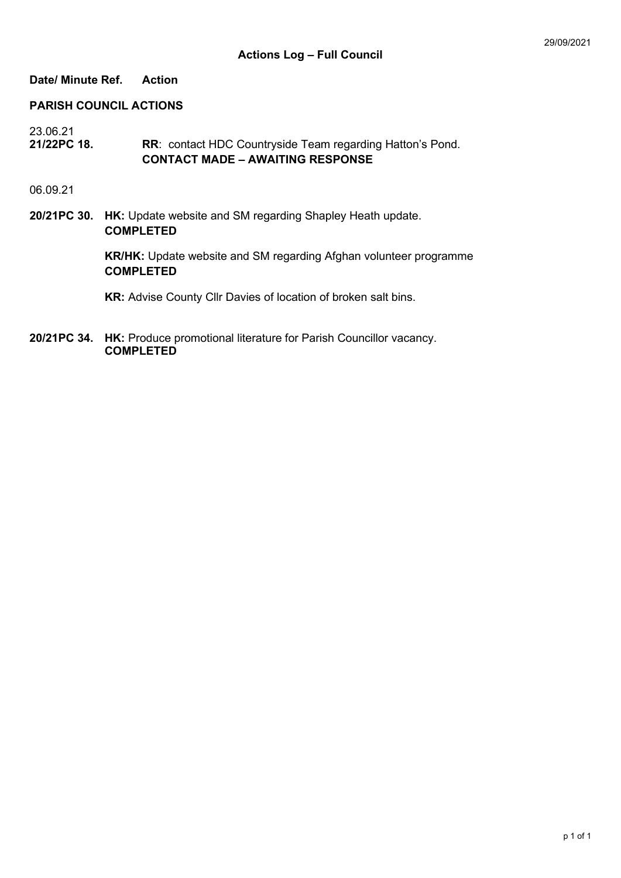## **Date/ Minute Ref. Action**

## **PARISH COUNCIL ACTIONS**

23.06.21<br>21/22PC 18.

**RR: contact HDC Countryside Team regarding Hatton's Pond. CONTACT MADE – AWAITING RESPONSE**

06.09.21

**20/21PC 30. HK:** Update website and SM regarding Shapley Heath update. **COMPLETED**

> **KR/HK:** Update website and SM regarding Afghan volunteer programme **COMPLETED**

**KR:** Advise County Cllr Davies of location of broken salt bins.

**20/21PC 34. HK:** Produce promotional literature for Parish Councillor vacancy. **COMPLETED**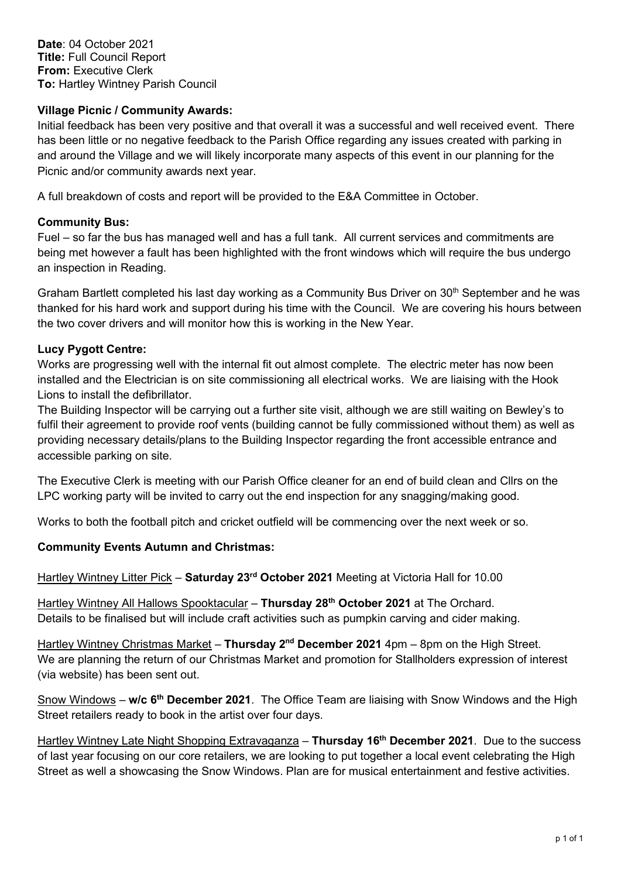**Date**: 04 October 2021 **Title:** Full Council Report **From:** Executive Clerk **To:** Hartley Wintney Parish Council

# **Village Picnic / Community Awards:**

Initial feedback has been very positive and that overall it was a successful and well received event. There has been little or no negative feedback to the Parish Office regarding any issues created with parking in and around the Village and we will likely incorporate many aspects of this event in our planning for the Picnic and/or community awards next year.

A full breakdown of costs and report will be provided to the E&A Committee in October.

# **Community Bus:**

Fuel – so far the bus has managed well and has a full tank. All current services and commitments are being met however a fault has been highlighted with the front windows which will require the bus undergo an inspection in Reading.

Graham Bartlett completed his last day working as a Community Bus Driver on 30<sup>th</sup> September and he was thanked for his hard work and support during his time with the Council. We are covering his hours between the two cover drivers and will monitor how this is working in the New Year.

# **Lucy Pygott Centre:**

Works are progressing well with the internal fit out almost complete. The electric meter has now been installed and the Electrician is on site commissioning all electrical works. We are liaising with the Hook Lions to install the defibrillator.

The Building Inspector will be carrying out a further site visit, although we are still waiting on Bewley's to fulfil their agreement to provide roof vents (building cannot be fully commissioned without them) as well as providing necessary details/plans to the Building Inspector regarding the front accessible entrance and accessible parking on site.

The Executive Clerk is meeting with our Parish Office cleaner for an end of build clean and Cllrs on the LPC working party will be invited to carry out the end inspection for any snagging/making good.

Works to both the football pitch and cricket outfield will be commencing over the next week or so.

# **Community Events Autumn and Christmas:**

## Hartley Wintney Litter Pick – **Saturday 23rd October 2021** Meeting at Victoria Hall for 10.00

Hartley Wintney All Hallows Spooktacular – **Thursday 28th October 2021** at The Orchard. Details to be finalised but will include craft activities such as pumpkin carving and cider making.

Hartley Wintney Christmas Market – **Thursday 2nd December 2021** 4pm – 8pm on the High Street. We are planning the return of our Christmas Market and promotion for Stallholders expression of interest (via website) has been sent out.

Snow Windows – **w/c 6th December 2021**. The Office Team are liaising with Snow Windows and the High Street retailers ready to book in the artist over four days.

Hartley Wintney Late Night Shopping Extravaganza – **Thursday 16th December 2021**. Due to the success of last year focusing on our core retailers, we are looking to put together a local event celebrating the High Street as well a showcasing the Snow Windows. Plan are for musical entertainment and festive activities.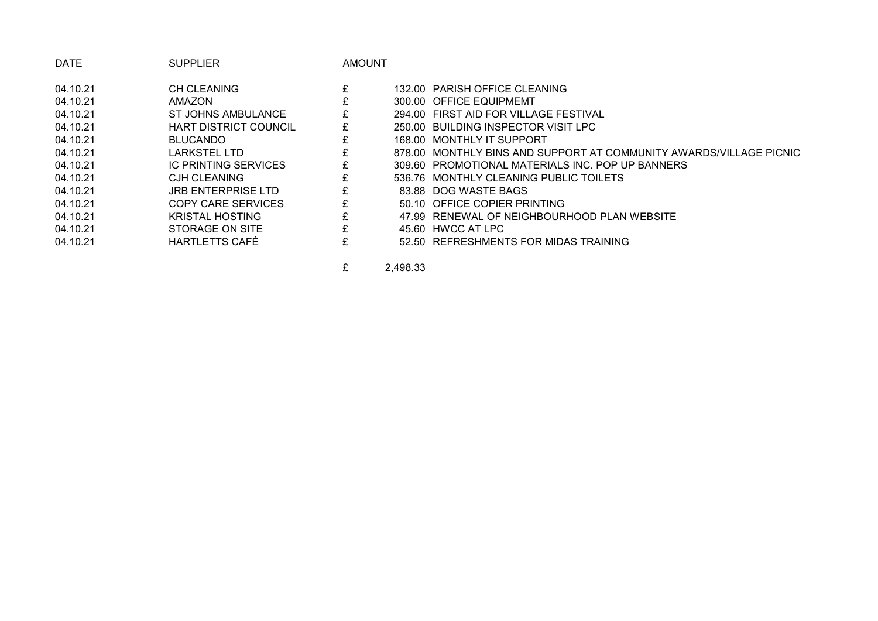| <b>DATE</b> | <b>SUPPLIER</b>              | <b>AMOUNT</b> |                                                                    |
|-------------|------------------------------|---------------|--------------------------------------------------------------------|
| 04.10.21    | <b>CH CLEANING</b>           |               | 132.00 PARISH OFFICE CLEANING                                      |
| 04.10.21    | AMAZON                       |               | 300.00 OFFICE EQUIPMEMT                                            |
| 04.10.21    | ST JOHNS AMBULANCE           |               | 294.00 FIRST AID FOR VILLAGE FESTIVAL                              |
| 04.10.21    | <b>HART DISTRICT COUNCIL</b> |               | 250.00 BUILDING INSPECTOR VISIT LPC                                |
| 04.10.21    | <b>BLUCANDO</b>              |               | 168.00 MONTHLY IT SUPPORT                                          |
| 04.10.21    | <b>LARKSTEL LTD</b>          |               | 878.00 MONTHLY BINS AND SUPPORT AT COMMUNITY AWARDS/VILLAGE PICNIC |
| 04.10.21    | <b>IC PRINTING SERVICES</b>  |               | 309.60 PROMOTIONAL MATERIALS INC. POP UP BANNERS                   |
| 04.10.21    | CJH CLEANING                 |               | 536.76 MONTHLY CLEANING PUBLIC TOILETS                             |
| 04.10.21    | <b>JRB ENTERPRISE LTD</b>    |               | 83.88 DOG WASTE BAGS                                               |
| 04.10.21    | COPY CARE SERVICES           |               | 50.10 OFFICE COPIER PRINTING                                       |
| 04.10.21    | <b>KRISTAL HOSTING</b>       | £             | 47.99 RENEWAL OF NEIGHBOURHOOD PLAN WEBSITE                        |
| 04.10.21    | STORAGE ON SITE              |               | 45.60 HWCC AT LPC                                                  |
| 04.10.21    | HARTLETTS CAFE               |               | 52.50 REFRESHMENTS FOR MIDAS TRAINING                              |

£ 2,498.33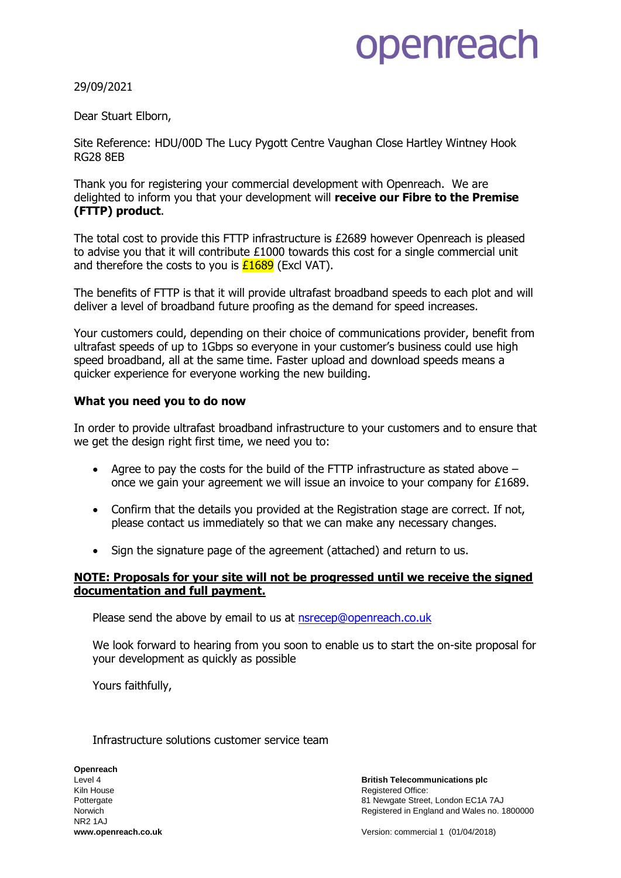# ppenreach

29/09/2021

Dear Stuart Elborn,

Site Reference: HDU/00D The Lucy Pygott Centre Vaughan Close Hartley Wintney Hook RG28 8EB

Thank you for registering your commercial development with Openreach. We are delighted to inform you that your development will **receive our Fibre to the Premise (FTTP) product**.

The total cost to provide this FTTP infrastructure is £2689 however Openreach is pleased to advise you that it will contribute £1000 towards this cost for a single commercial unit and therefore the costs to you is  $£1689$  (Excl VAT).

The benefits of FTTP is that it will provide ultrafast broadband speeds to each plot and will deliver a level of broadband future proofing as the demand for speed increases.

Your customers could, depending on their choice of communications provider, benefit from ultrafast speeds of up to 1Gbps so everyone in your customer's business could use high speed broadband, all at the same time. Faster upload and download speeds means a quicker experience for everyone working the new building.

# **What you need you to do now**

In order to provide ultrafast broadband infrastructure to your customers and to ensure that we get the design right first time, we need you to:

- Agree to pay the costs for the build of the FTTP infrastructure as stated above once we gain your agreement we will issue an invoice to your company for £1689.
- Confirm that the details you provided at the Registration stage are correct. If not, please contact us immediately so that we can make any necessary changes.
- Sign the signature page of the agreement (attached) and return to us.

## **NOTE: Proposals for your site will not be progressed until we receive the signed documentation and full payment.**

Please send the above by email to us at nsrecep@openreach.co.uk

We look forward to hearing from you soon to enable us to start the on-site proposal for your development as quickly as possible

Yours faithfully,

Infrastructure solutions customer service team

**Openreach** Level 4 Kiln House Pottergate Norwich **NR2 1AJ [www.openreach.co.uk](http://www.openreach.co.uk/)**

**British Telecommunications plc** Registered Office: 81 Newgate Street, London EC1A 7AJ Registered in England and Wales no. 1800000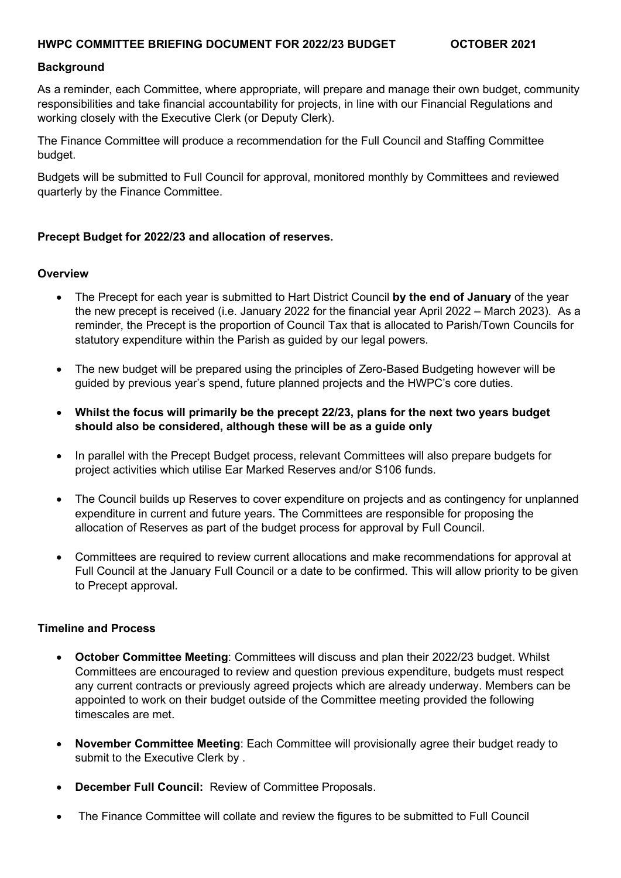## **Background**

As a reminder, each Committee, where appropriate, will prepare and manage their own budget, community responsibilities and take financial accountability for projects, in line with our Financial Regulations and working closely with the Executive Clerk (or Deputy Clerk).

The Finance Committee will produce a recommendation for the Full Council and Staffing Committee budget.

Budgets will be submitted to Full Council for approval, monitored monthly by Committees and reviewed quarterly by the Finance Committee.

## **Precept Budget for 2022/23 and allocation of reserves.**

## **Overview**

- The Precept for each year is submitted to Hart District Council **by the end of January** of the year the new precept is received (i.e. January 2022 for the financial year April 2022 – March 2023). As a reminder, the Precept is the proportion of Council Tax that is allocated to Parish/Town Councils for statutory expenditure within the Parish as guided by our legal powers.
- The new budget will be prepared using the principles of Zero-Based Budgeting however will be guided by previous year's spend, future planned projects and the HWPC's core duties.
- **Whilst the focus will primarily be the precept 22/23, plans for the next two years budget should also be considered, although these will be as a guide only**
- In parallel with the Precept Budget process, relevant Committees will also prepare budgets for project activities which utilise Ear Marked Reserves and/or S106 funds.
- The Council builds up Reserves to cover expenditure on projects and as contingency for unplanned expenditure in current and future years. The Committees are responsible for proposing the allocation of Reserves as part of the budget process for approval by Full Council.
- Committees are required to review current allocations and make recommendations for approval at Full Council at the January Full Council or a date to be confirmed. This will allow priority to be given to Precept approval.

## **Timeline and Process**

- **October Committee Meeting**: Committees will discuss and plan their 2022/23 budget. Whilst Committees are encouraged to review and question previous expenditure, budgets must respect any current contracts or previously agreed projects which are already underway. Members can be appointed to work on their budget outside of the Committee meeting provided the following timescales are met.
- **November Committee Meeting**: Each Committee will provisionally agree their budget ready to submit to the Executive Clerk by .
- **December Full Council:** Review of Committee Proposals.
- The Finance Committee will collate and review the figures to be submitted to Full Council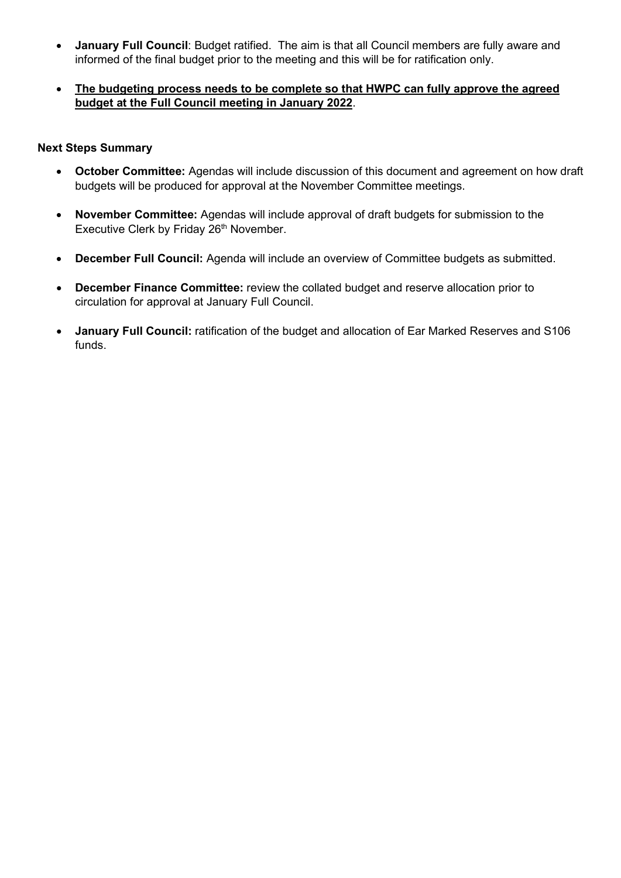- **January Full Council**: Budget ratified. The aim is that all Council members are fully aware and informed of the final budget prior to the meeting and this will be for ratification only.
- **The budgeting process needs to be complete so that HWPC can fully approve the agreed budget at the Full Council meeting in January 2022**.

## **Next Steps Summary**

- **October Committee:** Agendas will include discussion of this document and agreement on how draft budgets will be produced for approval at the November Committee meetings.
- **November Committee:** Agendas will include approval of draft budgets for submission to the Executive Clerk by Friday 26<sup>th</sup> November.
- **December Full Council:** Agenda will include an overview of Committee budgets as submitted.
- **December Finance Committee:** review the collated budget and reserve allocation prior to circulation for approval at January Full Council.
- **January Full Council:** ratification of the budget and allocation of Ear Marked Reserves and S106 funds.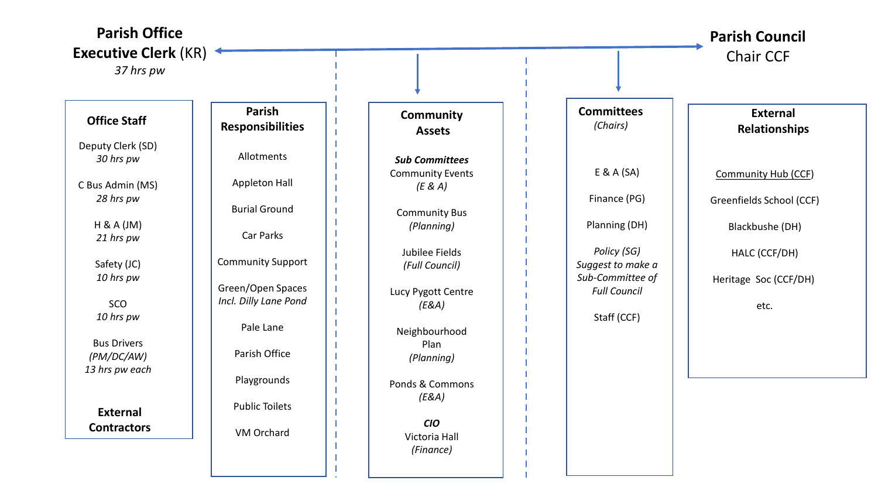| <b>Parish Office</b>             | <b>Parish Council</b>                      |                                          |                                                      |                                         |  |
|----------------------------------|--------------------------------------------|------------------------------------------|------------------------------------------------------|-----------------------------------------|--|
| <b>Executive Clerk (KR) ←</b>    |                                            |                                          |                                                      | <b>Chair CCF</b>                        |  |
| 37 hrs pw                        |                                            |                                          |                                                      |                                         |  |
|                                  |                                            |                                          |                                                      |                                         |  |
| <b>Office Staff</b>              | <b>Parish</b><br><b>Responsibilities</b>   | <b>Community</b><br><b>Assets</b>        | <b>Committees</b><br>(Chairs)                        | <b>External</b><br><b>Relationships</b> |  |
| Deputy Clerk (SD)<br>30 hrs pw   | Allotments                                 | <b>Sub Committees</b>                    |                                                      |                                         |  |
| C Bus Admin (MS)                 | Appleton Hall                              | <b>Community Events</b><br>(E & A)       | E & A(SA)                                            | Community Hub (CCF)                     |  |
| 28 hrs pw                        | <b>Burial Ground</b>                       | <b>Community Bus</b>                     | Finance (PG)                                         | Greenfields School (CCF)                |  |
| H & A (JM)<br>21 hrs pw          | Car Parks                                  | (Planning)                               | Planning (DH)                                        | Blackbushe (DH)                         |  |
| Safety (JC)<br>10 hrs pw         | <b>Community Support</b>                   | Jubilee Fields<br>(Full Council)         | Policy (SG)<br>Suggest to make a<br>Sub-Committee of | HALC (CCF/DH)<br>Heritage Soc (CCF/DH)  |  |
| SCO                              | Green/Open Spaces<br>Incl. Dilly Lane Pond | Lucy Pygott Centre<br>(E&A)              | <b>Full Council</b>                                  | etc.                                    |  |
| 10 hrs pw                        | Pale Lane                                  | Neighbourhood                            | Staff (CCF)                                          |                                         |  |
| <b>Bus Drivers</b><br>(PM/DC/AW) | Parish Office                              | Plan<br>(Planning)                       |                                                      |                                         |  |
| 13 hrs pw each                   | Playgrounds                                | Ponds & Commons<br>(E&A)                 |                                                      |                                         |  |
| <b>External</b>                  | <b>Public Toilets</b>                      |                                          |                                                      |                                         |  |
| <b>Contractors</b>               | VM Orchard                                 | <b>CIO</b><br>Victoria Hall<br>(Finance) |                                                      |                                         |  |
|                                  |                                            |                                          |                                                      |                                         |  |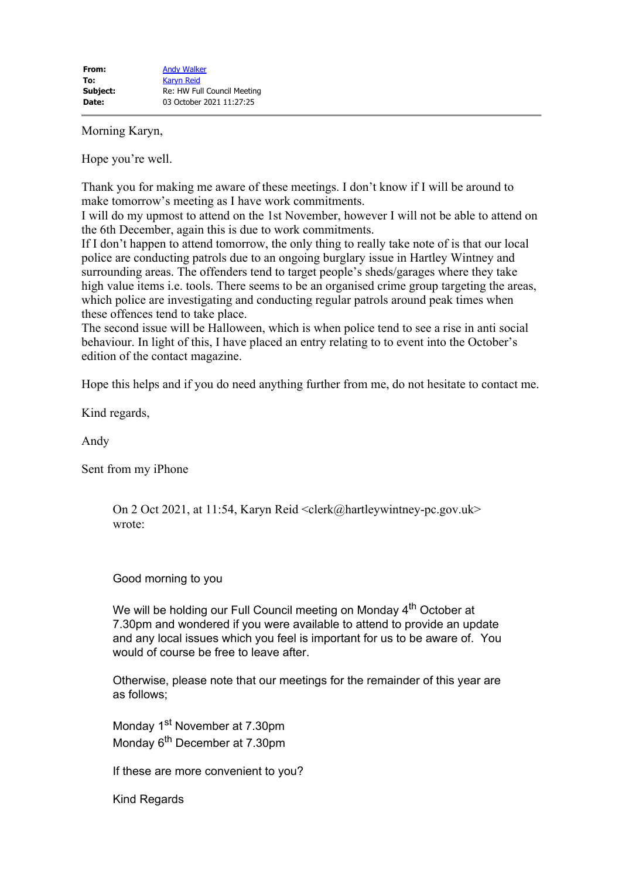Morning Karyn,

Hope you're well.

Thank you for making me aware of these meetings. I don't know if I will be around to make tomorrow's meeting as I have work commitments.

I will do my upmost to attend on the 1st November, however I will not be able to attend on the 6th December, again this is due to work commitments.

If I don't happen to attend tomorrow, the only thing to really take note of is that our local police are conducting patrols due to an ongoing burglary issue in Hartley Wintney and surrounding areas. The offenders tend to target people's sheds/garages where they take high value items i.e. tools. There seems to be an organised crime group targeting the areas, which police are investigating and conducting regular patrols around peak times when these offences tend to take place.

The second issue will be Halloween, which is when police tend to see a rise in anti social behaviour. In light of this, I have placed an entry relating to to event into the October's edition of the contact magazine.

Hope this helps and if you do need anything further from me, do not hesitate to contact me.

Kind regards,

Andy

Sent from my iPhone

On 2 Oct 2021, at 11:54, Karyn Reid <clerk@hartleywintney-pc.gov.uk> wrote:

Good morning to you

We will be holding our Full Council meeting on Monday 4<sup>th</sup> October at 7.30pm and wondered if you were available to attend to provide an update and any local issues which you feel is important for us to be aware of. You would of course be free to leave after.

Otherwise, please note that our meetings for the remainder of this year are as follows;

Monday 1<sup>st</sup> November at 7.30pm Monday 6<sup>th</sup> December at 7.30pm

If these are more convenient to you?

Kind Regards